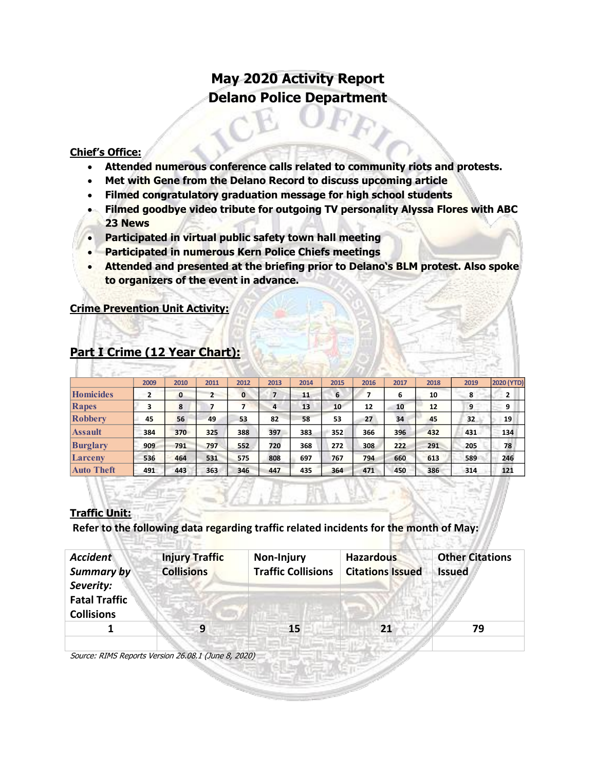# **May 2020 Activity Report Delano Police Department**

#### **Chief's Office:**

- **Attended numerous conference calls related to community riots and protests.**
- **Met with Gene from the Delano Record to discuss upcoming article**
- **Filmed congratulatory graduation message for high school students**
- **Filmed goodbye video tribute for outgoing TV personality Alyssa Flores with ABC 23 News**
- **Participated in virtual public safety town hall meeting**
- **Participated in numerous Kern Police Chiefs meetings**
- **Attended and presented at the briefing prior to Delano's BLM protest. Also spoke to organizers of the event in advance.**

#### **Crime Prevention Unit Activity:**

|                   | 2009 | 2010 | 2011           | 2012 | 2013           | 2014 | 2015 | 2016 | 2017 | 2018 | 2019 | 2020 (YTD) |
|-------------------|------|------|----------------|------|----------------|------|------|------|------|------|------|------------|
| <b>Homicides</b>  |      | 0    | $\overline{2}$ | 0    | $\overline{7}$ | 11   | 6    |      | 6    | 10   | 8    | 2          |
| Rapes             | 3    | 8    |                |      | 4              | 13   | 10   | 12   | 10   | 12   | 9    | 9          |
| Robbery           | 45   | 56   | 49             | 53   | 82             | 58   | 53   | 27   | 34   | 45   | 32   | 19         |
| <b>Assault</b>    | 384  | 370  | 325            | 388  | 397            | 383  | 352  | 366  | 396  | 432  | 431  | 134        |
| <b>Burglary</b>   | 909  | 791  | 797            | 552  | 720            | 368  | 272  | 308  | 222  | 291  | 205  | 78         |
| Larceny           | 536  | 464  | 531            | 575  | 808            | 697  | 767  | 794  | 660  | 613  | 589  | 246        |
| <b>Auto Theft</b> | 491  | 443  | 363            | 346  | 447            | 435  | 364  | 471  | 450  | 386  | 314  | 121        |

# **Part I Crime (12 Year Chart):**

## **Traffic Unit:**

**Refer to the following data regarding traffic related incidents for the month of May:** 

| <b>Accident</b><br><b>Summary by</b><br>Severity: | <b>Injury Traffic</b><br><b>Collisions</b> | Non-Injury<br><b>Traffic Collisions</b> | <b>Hazardous</b><br><b>Citations Issued</b> | <b>Other Citations</b><br><b>Issued</b> |  |
|---------------------------------------------------|--------------------------------------------|-----------------------------------------|---------------------------------------------|-----------------------------------------|--|
| <b>Fatal Traffic</b>                              |                                            |                                         |                                             |                                         |  |
| <b>Collisions</b>                                 |                                            |                                         |                                             |                                         |  |
|                                                   |                                            |                                         |                                             |                                         |  |
|                                                   | 9                                          | 15                                      | 21                                          | 79                                      |  |
|                                                   |                                            |                                         |                                             |                                         |  |

Source: RIMS Reports Version 26.08.1 (June 8, 2020)